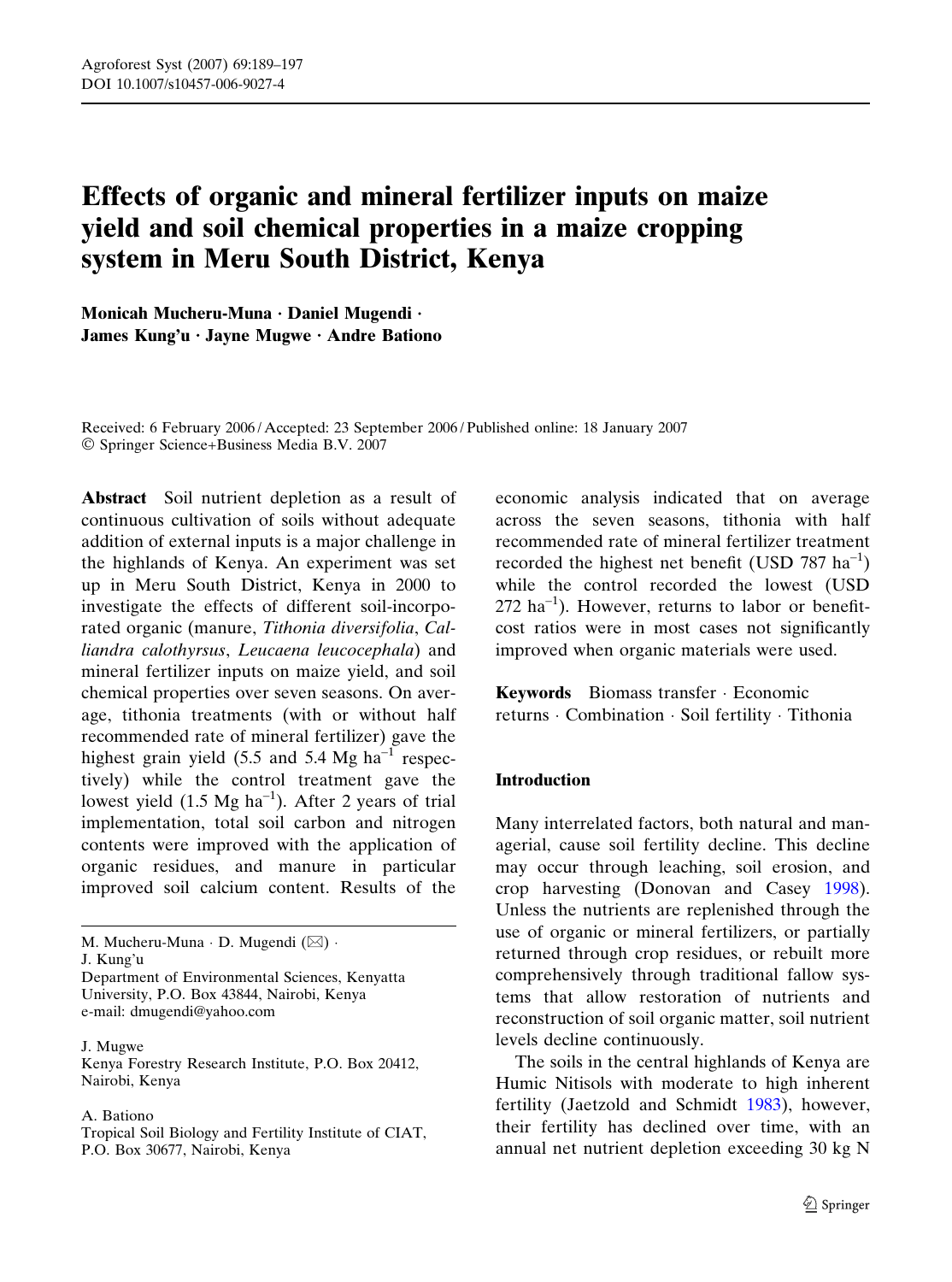# Effects of organic and mineral fertilizer inputs on maize yield and soil chemical properties in a maize cropping system in Meru South District, Kenya

Monicah Mucheru-Muna · Daniel Mugendi · James Kung'u · Jayne Mugwe · Andre Bationo

Received: 6 February 2006 / Accepted: 23 September 2006 / Published online: 18 January 2007 Springer Science+Business Media B.V. 2007

Abstract Soil nutrient depletion as a result of continuous cultivation of soils without adequate addition of external inputs is a major challenge in the highlands of Kenya. An experiment was set up in Meru South District, Kenya in 2000 to investigate the effects of different soil-incorporated organic (manure, Tithonia diversifolia, Calliandra calothyrsus, Leucaena leucocephala) and mineral fertilizer inputs on maize yield, and soil chemical properties over seven seasons. On average, tithonia treatments (with or without half recommended rate of mineral fertilizer) gave the highest grain yield  $(5.5 \text{ and } 5.4 \text{ Mg ha}^{-1} \text{ respectively})$ tively) while the control treatment gave the lowest yield  $(1.5 \text{ Mg ha}^{-1})$ . After 2 years of trial implementation, total soil carbon and nitrogen contents were improved with the application of organic residues, and manure in particular improved soil calcium content. Results of the

University, P.O. Box 43844, Nairobi, Kenya e-mail: dmugendi@yahoo.com

J. Mugwe

Kenya Forestry Research Institute, P.O. Box 20412, Nairobi, Kenya

#### A. Bationo

Tropical Soil Biology and Fertility Institute of CIAT, P.O. Box 30677, Nairobi, Kenya

economic analysis indicated that on average across the seven seasons, tithonia with half recommended rate of mineral fertilizer treatment recorded the highest net benefit (USD 787  $ha^{-1}$ ) while the control recorded the lowest (USD  $272$  ha<sup>-1</sup>). However, returns to labor or benefitcost ratios were in most cases not significantly improved when organic materials were used.

Keywords Biomass transfer · Economic returns · Combination · Soil fertility · Tithonia

#### Introduction

Many interrelated factors, both natural and managerial, cause soil fertility decline. This decline may occur through leaching, soil erosion, and crop harvesting (Donovan and Casey [1998\)](#page-7-0). Unless the nutrients are replenished through the use of organic or mineral fertilizers, or partially returned through crop residues, or rebuilt more comprehensively through traditional fallow systems that allow restoration of nutrients and reconstruction of soil organic matter, soil nutrient levels decline continuously.

The soils in the central highlands of Kenya are Humic Nitisols with moderate to high inherent fertility (Jaetzold and Schmidt [1983](#page-7-0)), however, their fertility has declined over time, with an annual net nutrient depletion exceeding 30 kg N

M. Mucheru-Muna  $\cdot$  D. Mugendi ( $\boxtimes$ )  $\cdot$ J. Kung'u Department of Environmental Sciences, Kenyatta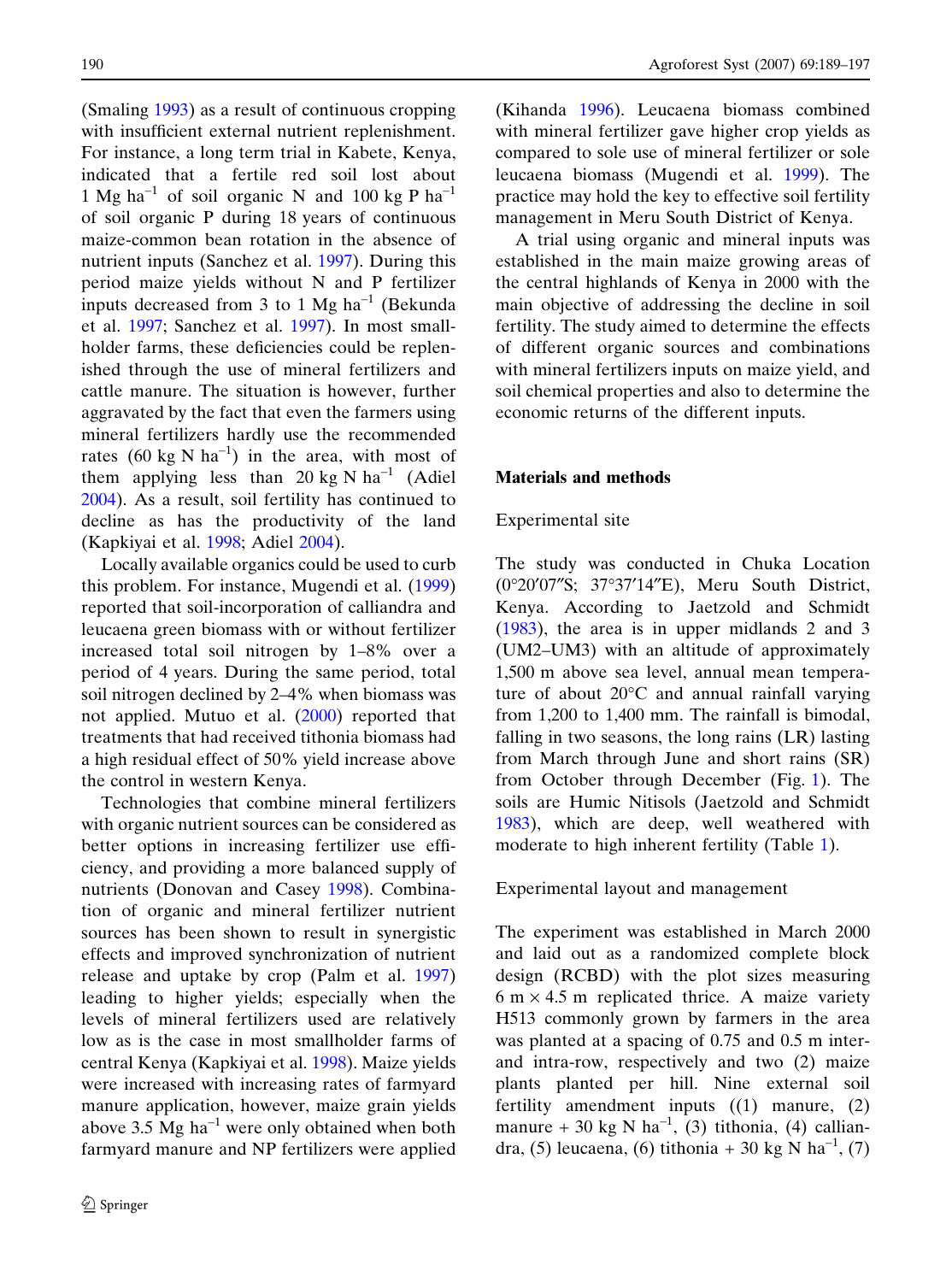(Smaling [1993](#page-8-0)) as a result of continuous cropping with insufficient external nutrient replenishment. For instance, a long term trial in Kabete, Kenya, indicated that a fertile red soil lost about 1 Mg ha<sup>-1</sup> of soil organic N and 100 kg P ha<sup>-1</sup> of soil organic P during 18 years of continuous maize-common bean rotation in the absence of nutrient inputs (Sanchez et al. [1997\)](#page-7-0). During this period maize yields without N and P fertilizer inputs decreased from 3 to 1 Mg  $ha^{-1}$  (Bekunda et al. [1997;](#page-7-0) Sanchez et al. [1997\)](#page-7-0). In most smallholder farms, these deficiencies could be replenished through the use of mineral fertilizers and cattle manure. The situation is however, further aggravated by the fact that even the farmers using mineral fertilizers hardly use the recommended rates  $(60 \text{ kg N} \text{ ha}^{-1})$  in the area, with most of them applying less than 20 kg N  $ha^{-1}$  (Adiel [2004\)](#page-7-0). As a result, soil fertility has continued to decline as has the productivity of the land (Kapkiyai et al. [1998;](#page-7-0) Adiel [2004](#page-7-0)).

Locally available organics could be used to curb this problem. For instance, Mugendi et al. [\(1999](#page-7-0)) reported that soil-incorporation of calliandra and leucaena green biomass with or without fertilizer increased total soil nitrogen by 1–8% over a period of 4 years. During the same period, total soil nitrogen declined by 2–4% when biomass was not applied. Mutuo et al. [\(2000](#page-7-0)) reported that treatments that had received tithonia biomass had a high residual effect of 50% yield increase above the control in western Kenya.

Technologies that combine mineral fertilizers with organic nutrient sources can be considered as better options in increasing fertilizer use efficiency, and providing a more balanced supply of nutrients (Donovan and Casey [1998\)](#page-7-0). Combination of organic and mineral fertilizer nutrient sources has been shown to result in synergistic effects and improved synchronization of nutrient release and uptake by crop (Palm et al. [1997](#page-7-0)) leading to higher yields; especially when the levels of mineral fertilizers used are relatively low as is the case in most smallholder farms of central Kenya (Kapkiyai et al. [1998](#page-7-0)). Maize yields were increased with increasing rates of farmyard manure application, however, maize grain yields above  $3.5 \text{ Mg} \text{ ha}^{-1}$  were only obtained when both farmyard manure and NP fertilizers were applied

(Kihanda [1996\)](#page-7-0). Leucaena biomass combined with mineral fertilizer gave higher crop yields as compared to sole use of mineral fertilizer or sole leucaena biomass (Mugendi et al. [1999\)](#page-7-0). The practice may hold the key to effective soil fertility management in Meru South District of Kenya.

A trial using organic and mineral inputs was established in the main maize growing areas of the central highlands of Kenya in 2000 with the main objective of addressing the decline in soil fertility. The study aimed to determine the effects of different organic sources and combinations with mineral fertilizers inputs on maize yield, and soil chemical properties and also to determine the economic returns of the different inputs.

## Materials and methods

# Experimental site

The study was conducted in Chuka Location (0°20'07"S; 37°37'14"E), Meru South District, Kenya. According to Jaetzold and Schmidt ([1983\)](#page-7-0), the area is in upper midlands 2 and 3 (UM2–UM3) with an altitude of approximately 1,500 m above sea level, annual mean temperature of about  $20^{\circ}$ C and annual rainfall varying from 1,200 to 1,400 mm. The rainfall is bimodal, falling in two seasons, the long rains (LR) lasting from March through June and short rains (SR) from October through December (Fig. [1](#page-2-0)). The soils are Humic Nitisols (Jaetzold and Schmidt [1983\)](#page-7-0), which are deep, well weathered with moderate to high inherent fertility (Table [1\)](#page-2-0).

#### Experimental layout and management

The experiment was established in March 2000 and laid out as a randomized complete block design (RCBD) with the plot sizes measuring  $6 \text{ m} \times 4.5 \text{ m}$  replicated thrice. A maize variety H513 commonly grown by farmers in the area was planted at a spacing of 0.75 and 0.5 m interand intra-row, respectively and two (2) maize plants planted per hill. Nine external soil fertility amendment inputs ((1) manure, (2) manure + 30 kg N ha<sup>-1</sup>, (3) tithonia, (4) calliandra, (5) leucaena, (6) tithonia + 30 kg N ha<sup>-1</sup>, (7)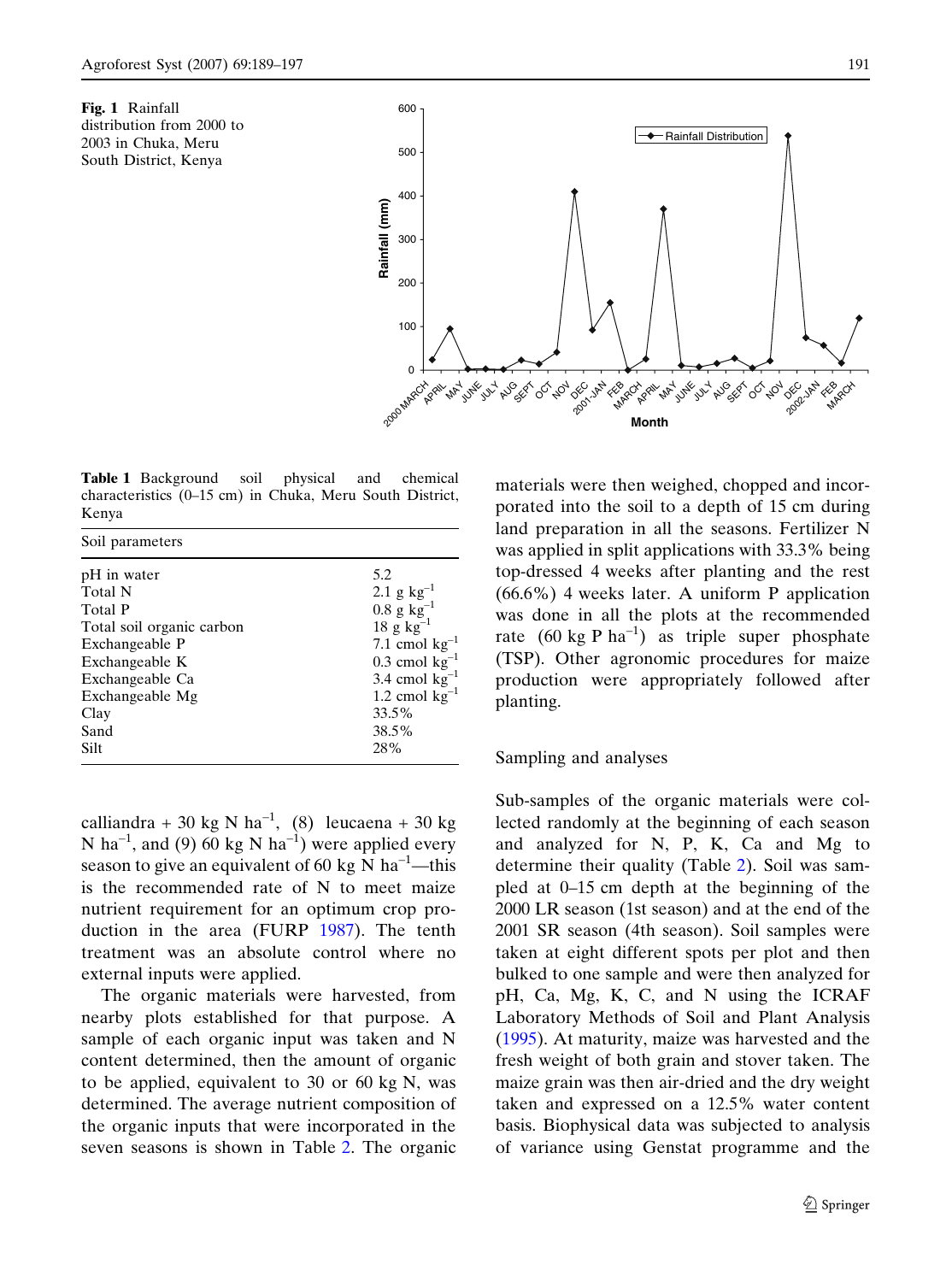<span id="page-2-0"></span>



Table 1 Background soil physical and chemical characteristics (0–15 cm) in Chuka, Meru South District, Kenya

| Soil parameters                  |                                                        |
|----------------------------------|--------------------------------------------------------|
| pH in water                      | 5.2                                                    |
| <b>Total N</b><br><b>Total P</b> | 2.1 g $kg^{-1}$<br>$0.8\,\mathrm{g}\,\mathrm{kg}^{-1}$ |
| Total soil organic carbon        | $18 \text{ g kg}^{-1}$                                 |
| Exchangeable P<br>Exchangeable K | 7.1 cmol $kg^{-1}$<br>$0.3$ cmol kg <sup>-1</sup>      |
| Exchangeable Ca                  | 3.4 cmol $kg^{-1}$                                     |
| Exchangeable Mg                  | 1.2 cmol $kg^{-1}$                                     |
| Clay<br>Sand                     | 33.5%<br>38.5%                                         |
| Silt                             | 28%                                                    |

calliandra + 30 kg N ha<sup>-1</sup>, (8) leucaena + 30 kg N ha<sup>-1</sup>, and (9) 60 kg N ha<sup>-1</sup>) were applied every season to give an equivalent of 60 kg N ha<sup>-1</sup>—this is the recommended rate of N to meet maize nutrient requirement for an optimum crop production in the area (FURP [1987\)](#page-7-0). The tenth treatment was an absolute control where no external inputs were applied.

The organic materials were harvested, from nearby plots established for that purpose. A sample of each organic input was taken and N content determined, then the amount of organic to be applied, equivalent to 30 or 60 kg N, was determined. The average nutrient composition of the organic inputs that were incorporated in the seven seasons is shown in Table [2.](#page-3-0) The organic

materials were then weighed, chopped and incorporated into the soil to a depth of 15 cm during land preparation in all the seasons. Fertilizer N was applied in split applications with 33.3% being top-dressed 4 weeks after planting and the rest (66.6%) 4 weeks later. A uniform P application was done in all the plots at the recommended rate  $(60 \text{ kg } P \text{ ha}^{-1})$  as triple super phosphate (TSP). Other agronomic procedures for maize production were appropriately followed after planting.

## Sampling and analyses

Sub-samples of the organic materials were collected randomly at the beginning of each season and analyzed for N, P, K, Ca and Mg to determine their quality (Table [2\)](#page-3-0). Soil was sampled at 0–15 cm depth at the beginning of the 2000 LR season (1st season) and at the end of the 2001 SR season (4th season). Soil samples were taken at eight different spots per plot and then bulked to one sample and were then analyzed for pH, Ca, Mg, K, C, and N using the ICRAF Laboratory Methods of Soil and Plant Analysis ([1995\)](#page-7-0). At maturity, maize was harvested and the fresh weight of both grain and stover taken. The maize grain was then air-dried and the dry weight taken and expressed on a 12.5% water content basis. Biophysical data was subjected to analysis of variance using Genstat programme and the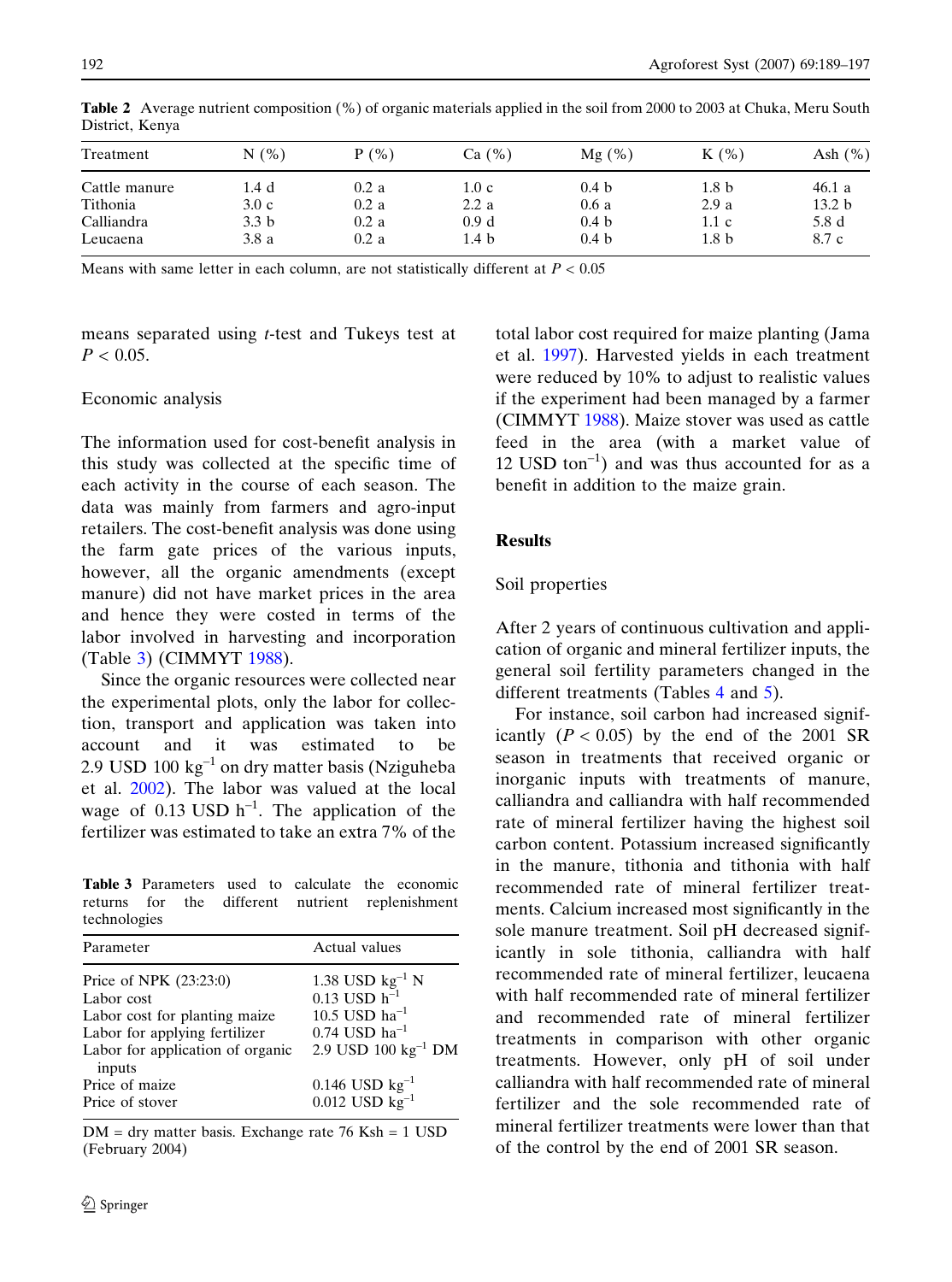| Ash $(\% )$<br>$K(\%)$                               |
|------------------------------------------------------|
| 46.1a                                                |
| 13.2 <sub>b</sub>                                    |
| 5.8 d                                                |
| 8.7 c                                                |
| 1.8 <sub>b</sub><br>2.9a<br>1.1c<br>1.8 <sub>b</sub> |

<span id="page-3-0"></span>Table 2 Average nutrient composition (%) of organic materials applied in the soil from 2000 to 2003 at Chuka, Meru South District, Kenya

Means with same letter in each column, are not statistically different at  $P < 0.05$ 

means separated using t-test and Tukeys test at  $P < 0.05$ .

## Economic analysis

The information used for cost-benefit analysis in this study was collected at the specific time of each activity in the course of each season. The data was mainly from farmers and agro-input retailers. The cost-benefit analysis was done using the farm gate prices of the various inputs, however, all the organic amendments (except manure) did not have market prices in the area and hence they were costed in terms of the labor involved in harvesting and incorporation (Table 3) (CIMMYT [1988\)](#page-7-0).

Since the organic resources were collected near the experimental plots, only the labor for collection, transport and application was taken into account and it was estimated to be 2.9 USD  $100 \text{ kg}^{-1}$  on dry matter basis (Nziguheba et al. [2002\)](#page-7-0). The labor was valued at the local wage of 0.13 USD  $h^{-1}$ . The application of the fertilizer was estimated to take an extra 7% of the

Table 3 Parameters used to calculate the economic returns for the different nutrient replenishment technologies

| Parameter                                                                                                                                  | Actual values                                                                                                                     |
|--------------------------------------------------------------------------------------------------------------------------------------------|-----------------------------------------------------------------------------------------------------------------------------------|
| Price of NPK (23:23:0)<br>Labor cost<br>Labor cost for planting maize<br>Labor for applying fertilizer<br>Labor for application of organic | 1.38 USD $kg^{-1}$ N<br>0.13 USD $h^{-1}$<br>$10.5$ USD $\rm{ha}^{-1}$<br>$0.74$ USD ha <sup>-1</sup><br>2.9 USD 100 $kg^{-1}$ DM |
| inputs<br>Price of maize<br>Price of stover                                                                                                | 0.146 USD $kg^{-1}$<br>0.012 USD $kg^{-1}$                                                                                        |

DM = dry matter basis. Exchange rate 76 Ksh = 1 USD (February 2004)

total labor cost required for maize planting (Jama et al. [1997\)](#page-7-0). Harvested yields in each treatment were reduced by 10% to adjust to realistic values if the experiment had been managed by a farmer (CIMMYT [1988\)](#page-7-0). Maize stover was used as cattle feed in the area (with a market value of 12 USD ton<sup>-1</sup>) and was thus accounted for as a benefit in addition to the maize grain.

# Results

## Soil properties

After 2 years of continuous cultivation and application of organic and mineral fertilizer inputs, the general soil fertility parameters changed in the different treatments (Tables [4](#page-4-0) and [5](#page-4-0)).

For instance, soil carbon had increased significantly  $(P < 0.05)$  by the end of the 2001 SR season in treatments that received organic or inorganic inputs with treatments of manure, calliandra and calliandra with half recommended rate of mineral fertilizer having the highest soil carbon content. Potassium increased significantly in the manure, tithonia and tithonia with half recommended rate of mineral fertilizer treatments. Calcium increased most significantly in the sole manure treatment. Soil pH decreased significantly in sole tithonia, calliandra with half recommended rate of mineral fertilizer, leucaena with half recommended rate of mineral fertilizer and recommended rate of mineral fertilizer treatments in comparison with other organic treatments. However, only pH of soil under calliandra with half recommended rate of mineral fertilizer and the sole recommended rate of mineral fertilizer treatments were lower than that of the control by the end of 2001 SR season.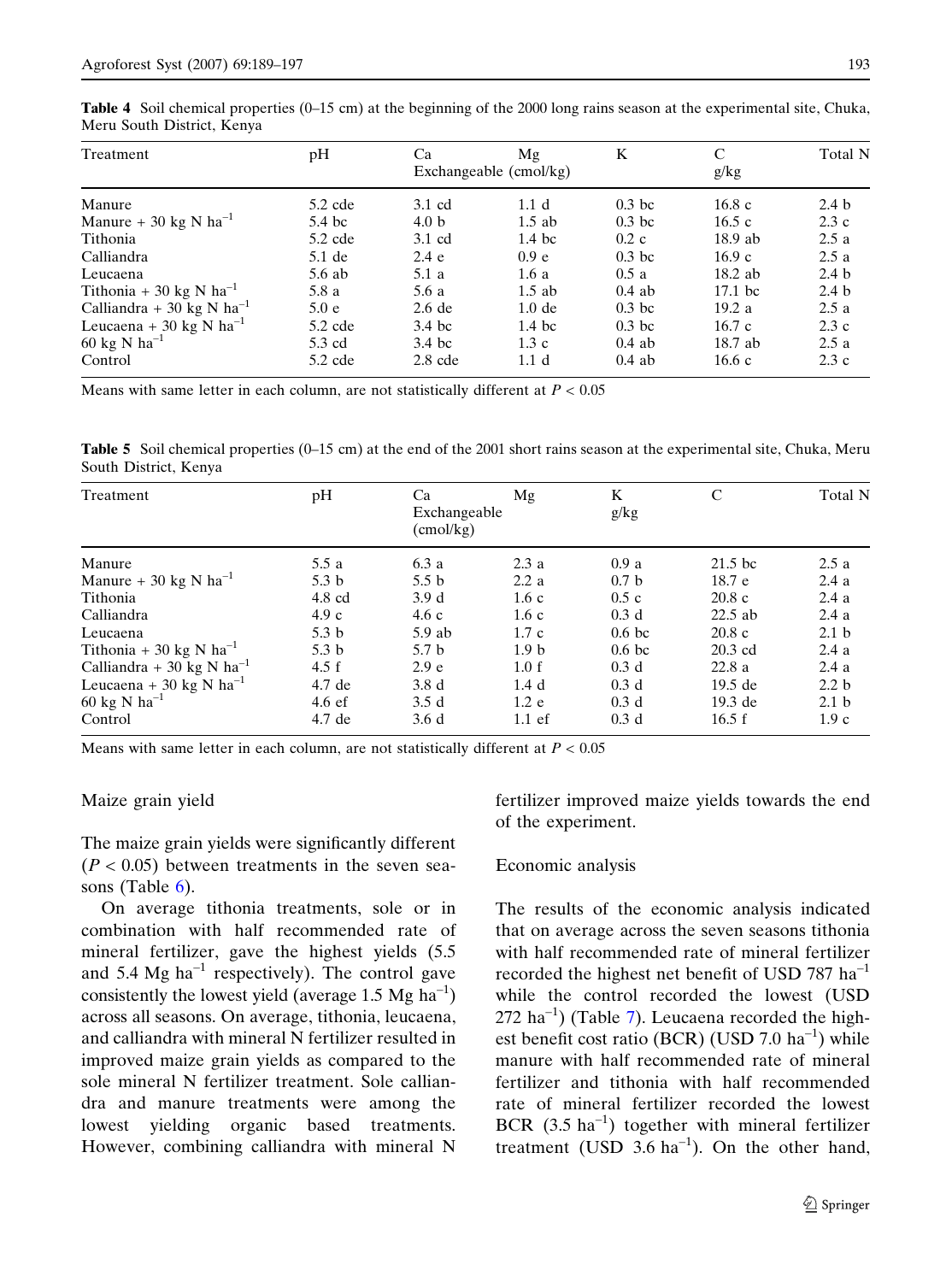<span id="page-4-0"></span>Table 4 Soil chemical properties (0–15 cm) at the beginning of the 2000 long rains season at the experimental site, Chuka, Meru South District, Kenya

| Treatment                           | pH        | Ca               | Mg<br>Exchangeable (cmol/kg) | K                 | C<br>g/kg       | Total N          |
|-------------------------------------|-----------|------------------|------------------------------|-------------------|-----------------|------------------|
| Manure                              | $5.2$ cde | $3.1 \text{ cd}$ | 1.1 <sub>d</sub>             | $0.3$ bc          | 16.8c           | 2.4 <sub>b</sub> |
| Manure + 30 kg N $ha^{-1}$          | 5.4 bc    | 4.0 <sub>b</sub> | $1.5$ ab                     | 0.3 <sub>bc</sub> | 16.5c           | 2.3c             |
| Tithonia                            | $5.2$ cde | 3.1 cd           | 1.4~bc                       | $0.2\;c$          | $18.9$ ab       | 2.5a             |
| Calliandra                          | $5.1$ de  | 2.4 e            | 0.9 e                        | $0.3$ bc          | 16.9c           | 2.5a             |
| Leucaena                            | $5.6$ ab  | 5.1a             | 1.6a                         | 0.5a              | $18.2$ ab       | 2.4 <sub>b</sub> |
| Tithonia + 30 kg N ha <sup>-1</sup> | 5.8 a     | 5.6 a            | $1.5$ ab                     | $0.4$ ab          | $17.1~{\rm bc}$ | 2.4 <sub>b</sub> |
| Calliandra + 30 kg N $ha^{-1}$      | 5.0 e     | $2.6$ de         | 1.0 <sub>de</sub>            | $0.3$ bc          | 19.2a           | 2.5a             |
| Leucaena + 30 kg N ha <sup>-1</sup> | $5.2$ cde | $3.4$ bc         | 1.4~bc                       | $0.3$ bc          | 16.7c           | 2.3c             |
| 60 kg N $ha^{-1}$                   | 5.3 cd    | 3.4~bc           | 1.3c                         | $0.4$ ab          | 18.7 ab         | 2.5a             |
| Control                             | $5.2$ cde | $2.8$ cde        | 1.1 <sub>d</sub>             | $0.4$ ab          | 16.6c           | 2.3c             |

Means with same letter in each column, are not statistically different at  $P < 0.05$ 

Table 5 Soil chemical properties (0–15 cm) at the end of the 2001 short rains season at the experimental site, Chuka, Meru South District, Kenya

| Treatment                             | pH               | Ca<br>Exchangeable<br>$\text{(cmol/kg)}$ | Mg               | K<br>g/kg        | C         | Total N          |
|---------------------------------------|------------------|------------------------------------------|------------------|------------------|-----------|------------------|
| Manure                                | 5.5 a            | 6.3a                                     | 2.3a             | 0.9a             | $21.5$ bc | 2.5a             |
| Manure + 30 kg N $ha^{-1}$            | 5.3 <sub>b</sub> | 5.5 <sub>b</sub>                         | 2.2a             | 0.7 <sub>b</sub> | 18.7 e    | 2.4a             |
| Tithonia                              | $4.8 \text{ cd}$ | 3.9 <sub>d</sub>                         | 1.6c             | 0.5c             | 20.8c     | 2.4a             |
| Calliandra                            | 4.9c             | 4.6c                                     | 1.6c             | 0.3 <sub>d</sub> | $22.5$ ab | 2.4a             |
| Leucaena                              | 5.3 <sub>b</sub> | $5.9$ ab                                 | 1.7c             | 0.6 <sub>b</sub> | 20.8c     | 2.1 <sub>b</sub> |
| Tithonia + 30 kg N $ha^{-1}$          | 5.3 <sub>b</sub> | 5.7 <sub>b</sub>                         | 1.9 <sub>b</sub> | 0.6 <sub>b</sub> | $20.3$ cd | 2.4a             |
| Calliandra + 30 kg N ha <sup>-1</sup> | 4.5 f            | 2.9 e                                    | 1.0 f            | 0.3 <sub>d</sub> | 22.8a     | 2.4a             |
| Leucaena + 30 kg N ha <sup>-1</sup>   | 4.7 de           | 3.8 <sub>d</sub>                         | 1.4 <sub>d</sub> | 0.3 <sub>d</sub> | $19.5$ de | 2.2 <sub>b</sub> |
| 60 kg N $ha^{-1}$                     | $4.6 \text{ ef}$ | 3.5d                                     | 1.2 e            | 0.3 <sub>d</sub> | 19.3 de   | 2.1 <sub>b</sub> |
| Control                               | 4.7 de           | 3.6d                                     | $1.1$ ef         | 0.3 <sub>d</sub> | 16.5 f    | 1.9c             |

Means with same letter in each column, are not statistically different at  $P < 0.05$ 

#### Maize grain yield

The maize grain yields were significantly different  $(P < 0.05)$  between treatments in the seven sea-sons (Table [6\)](#page-5-0).

On average tithonia treatments, sole or in combination with half recommended rate of mineral fertilizer, gave the highest yields (5.5 and 5.4 Mg  $ha^{-1}$  respectively). The control gave consistently the lowest yield (average 1.5 Mg  $ha^{-1}$ ) across all seasons. On average, tithonia, leucaena, and calliandra with mineral N fertilizer resulted in improved maize grain yields as compared to the sole mineral N fertilizer treatment. Sole calliandra and manure treatments were among the lowest yielding organic based treatments. However, combining calliandra with mineral N fertilizer improved maize yields towards the end of the experiment.

#### Economic analysis

The results of the economic analysis indicated that on average across the seven seasons tithonia with half recommended rate of mineral fertilizer recorded the highest net benefit of USD 787  $ha^{-1}$ while the control recorded the lowest (USD  $272$  $272$  $272$  ha<sup>-1</sup>) (Table 7). Leucaena recorded the highest benefit cost ratio (BCR) (USD 7.0  $ha^{-1}$ ) while manure with half recommended rate of mineral fertilizer and tithonia with half recommended rate of mineral fertilizer recorded the lowest BCR  $(3.5 \text{ ha}^{-1})$  together with mineral fertilizer treatment (USD  $3.6 \text{ ha}^{-1}$ ). On the other hand,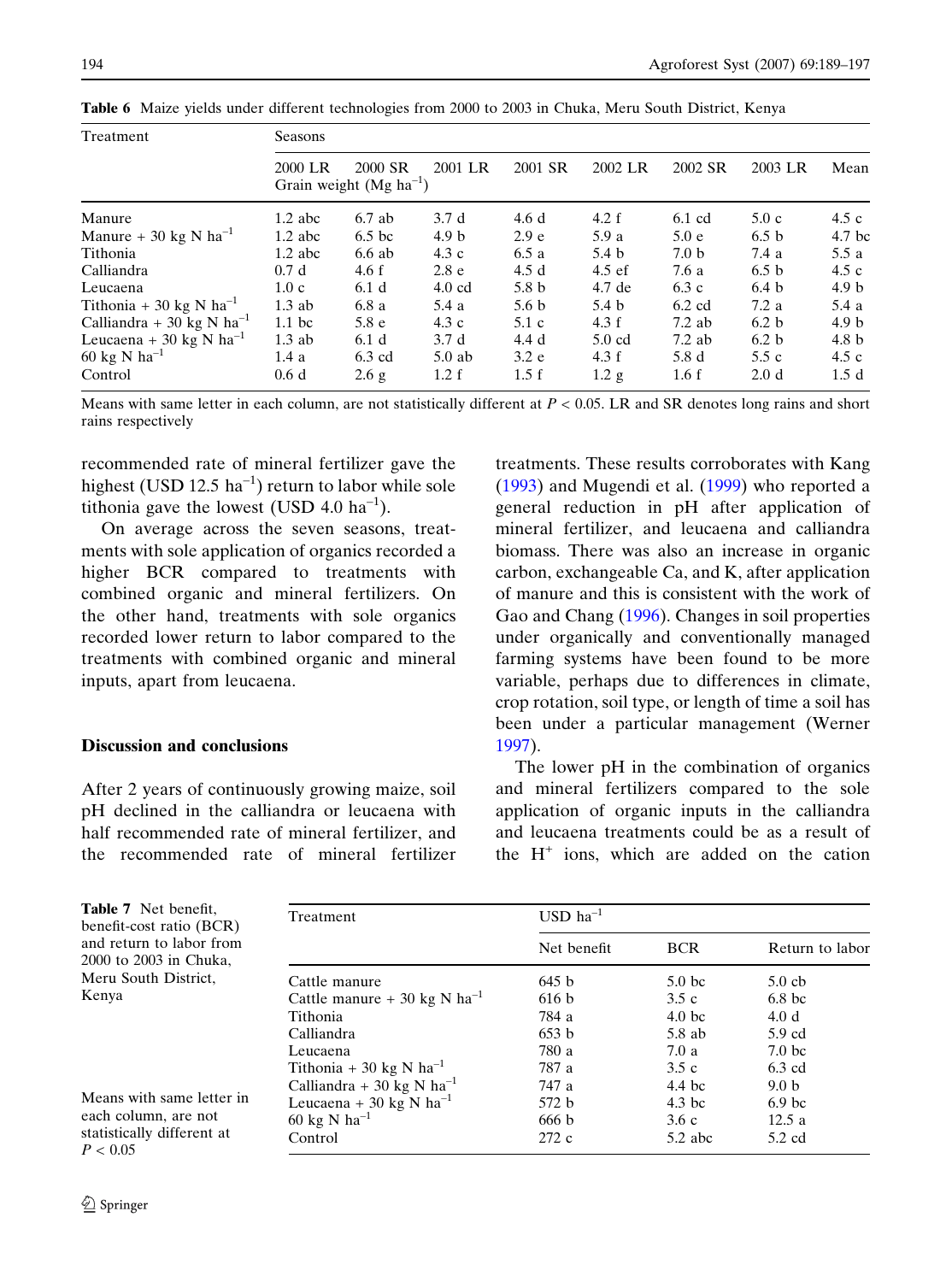| Treatment                      | Seasons           |                                        |                  |                  |                  |                  |                  |                  |
|--------------------------------|-------------------|----------------------------------------|------------------|------------------|------------------|------------------|------------------|------------------|
|                                | 2000 LR           | 2000 SR<br>Grain weight $(Mg ha^{-1})$ | 2001 LR          | 2001 SR          | 2002 LR          | 2002 SR          | 2003 LR          | Mean             |
| Manure                         | $1.2$ abc         | 6.7 ab                                 | 3.7d             | 4.6d             | 4.2 f            | $6.1$ cd         | 5.0c             | 4.5c             |
| Manure + 30 kg N $ha^{-1}$     | $1.2$ abc         | 6.5 <sub>bc</sub>                      | 4.9 <sub>b</sub> | 2.9 <sub>e</sub> | 5.9 a            | 5.0 e            | 6.5 <sub>b</sub> | 4.7 bc           |
| Tithonia                       | $1.2$ abc         | 6.6 ab                                 | 4.3c             | 6.5a             | 5.4 <sub>b</sub> | 7.0 <sub>b</sub> | 7.4a             | 5.5a             |
| Calliandra                     | 0.7d              | 4.6 f                                  | 2.8 <sub>e</sub> | 4.5d             | $4.5$ ef         | 7.6 a            | 6.5 <sub>b</sub> | 4.5c             |
| Leucaena                       | 1.0c              | 6.1 <sub>d</sub>                       | $4.0 \text{ cd}$ | 5.8 <sub>b</sub> | 4.7 de           | 6.3c             | 6.4 <sub>b</sub> | 4.9 <sub>b</sub> |
| Tithonia + 30 kg N $ha^{-1}$   | $1.3$ ab          | 6.8 a                                  | 5.4 a            | 5.6 <sub>b</sub> | 5.4 <sub>b</sub> | $6.2$ cd         | 7.2a             | 5.4 a            |
| Calliandra + 30 kg N $ha^{-1}$ | 1.1 <sub>bc</sub> | 5.8 e                                  | 4.3c             | $5.1\ c$         | 4.3 f            | $7.2$ ab         | 6.2 <sub>b</sub> | 4.9 <sub>b</sub> |
| Leucaena + 30 kg N $ha^{-1}$   | $1.3$ ab          | 6.1 <sub>d</sub>                       | 3.7d             | 4.4 d            | $5.0$ cd         | $7.2$ ab         | 6.2 <sub>b</sub> | 4.8 <sub>b</sub> |
| 60 kg N $ha^{-1}$              | 1.4a              | 6.3 cd                                 | $5.0$ ab         | 3.2 e            | 4.3 f            | 5.8 d            | 5.5c             | 4.5c             |
| Control                        | 0.6d              | 2.6g                                   | 1.2 f            | 1.5 f            | 1.2 g            | 1.6f             | 2.0 <sub>d</sub> | 1.5d             |

<span id="page-5-0"></span>Table 6 Maize yields under different technologies from 2000 to 2003 in Chuka, Meru South District, Kenya

Means with same letter in each column, are not statistically different at  $P < 0.05$ . LR and SR denotes long rains and short rains respectively

recommended rate of mineral fertilizer gave the highest (USD 12.5  $ha^{-1}$ ) return to labor while sole tithonia gave the lowest (USD 4.0  $\text{ha}^{-1}$ ).

On average across the seven seasons, treatments with sole application of organics recorded a higher BCR compared to treatments with combined organic and mineral fertilizers. On the other hand, treatments with sole organics recorded lower return to labor compared to the treatments with combined organic and mineral inputs, apart from leucaena.

#### Discussion and conclusions

After 2 years of continuously growing maize, soil pH declined in the calliandra or leucaena with half recommended rate of mineral fertilizer, and the recommended rate of mineral fertilizer treatments. These results corroborates with Kang ([1993\)](#page-7-0) and Mugendi et al. [\(1999\)](#page-7-0) who reported a general reduction in pH after application of mineral fertilizer, and leucaena and calliandra biomass. There was also an increase in organic carbon, exchangeable Ca, and K, after application of manure and this is consistent with the work of Gao and Chang [\(1996](#page-7-0)). Changes in soil properties under organically and conventionally managed farming systems have been found to be more variable, perhaps due to differences in climate, crop rotation, soil type, or length of time a soil has been under a particular management (Werner [1997\)](#page-8-0).

The lower pH in the combination of organics and mineral fertilizers compared to the sole application of organic inputs in the calliandra and leucaena treatments could be as a result of the  $H^+$  ions, which are added on the cation

| Table 7 Net benefit,<br>benefit-cost ratio (BCR)<br>and return to labor from<br>2000 to 2003 in Chuka, | Treatment                           | $USD ha^{-1}$ |                    |                   |  |  |
|--------------------------------------------------------------------------------------------------------|-------------------------------------|---------------|--------------------|-------------------|--|--|
|                                                                                                        |                                     | Net benefit   | <b>BCR</b>         | Return to labor   |  |  |
| Meru South District,                                                                                   | Cattle manure                       | 645 b         | 5.0 <sub>bc</sub>  | $5.0$ cb          |  |  |
| Kenya                                                                                                  | Cattle manure + 30 kg N $ha^{-1}$   | 616 b         | 3.5c               | 6.8 <sub>bc</sub> |  |  |
| Means with same letter in<br>each column, are not                                                      | Tithonia                            | 784 a         | 4.0 <sub>b</sub> c | 4.0d              |  |  |
|                                                                                                        | Calliandra                          | 653 b         | 5.8 ab             | 5.9 cd            |  |  |
|                                                                                                        | Leucaena                            | 780 a         | 7.0a               | 7.0 <sub>bc</sub> |  |  |
|                                                                                                        | Tithonia + 30 kg N ha <sup>-1</sup> | 787 a         | 3.5c               | $6.3$ cd          |  |  |
|                                                                                                        | Calliandra + 30 kg N $ha^{-1}$      | 747 a         | 4.4 bc             | 9.0 <sub>b</sub>  |  |  |
|                                                                                                        | Leucaena + 30 kg N ha <sup>-1</sup> | 572 b         | $4.3$ bc           | 6.9 <sub>bc</sub> |  |  |
|                                                                                                        | 60 kg N $ha^{-1}$                   | 666 b         | 3.6c               | 12.5a             |  |  |
| statistically different at<br>P < 0.05                                                                 | Control                             | 272 c         | $5.2$ abc          | 5.2 cd            |  |  |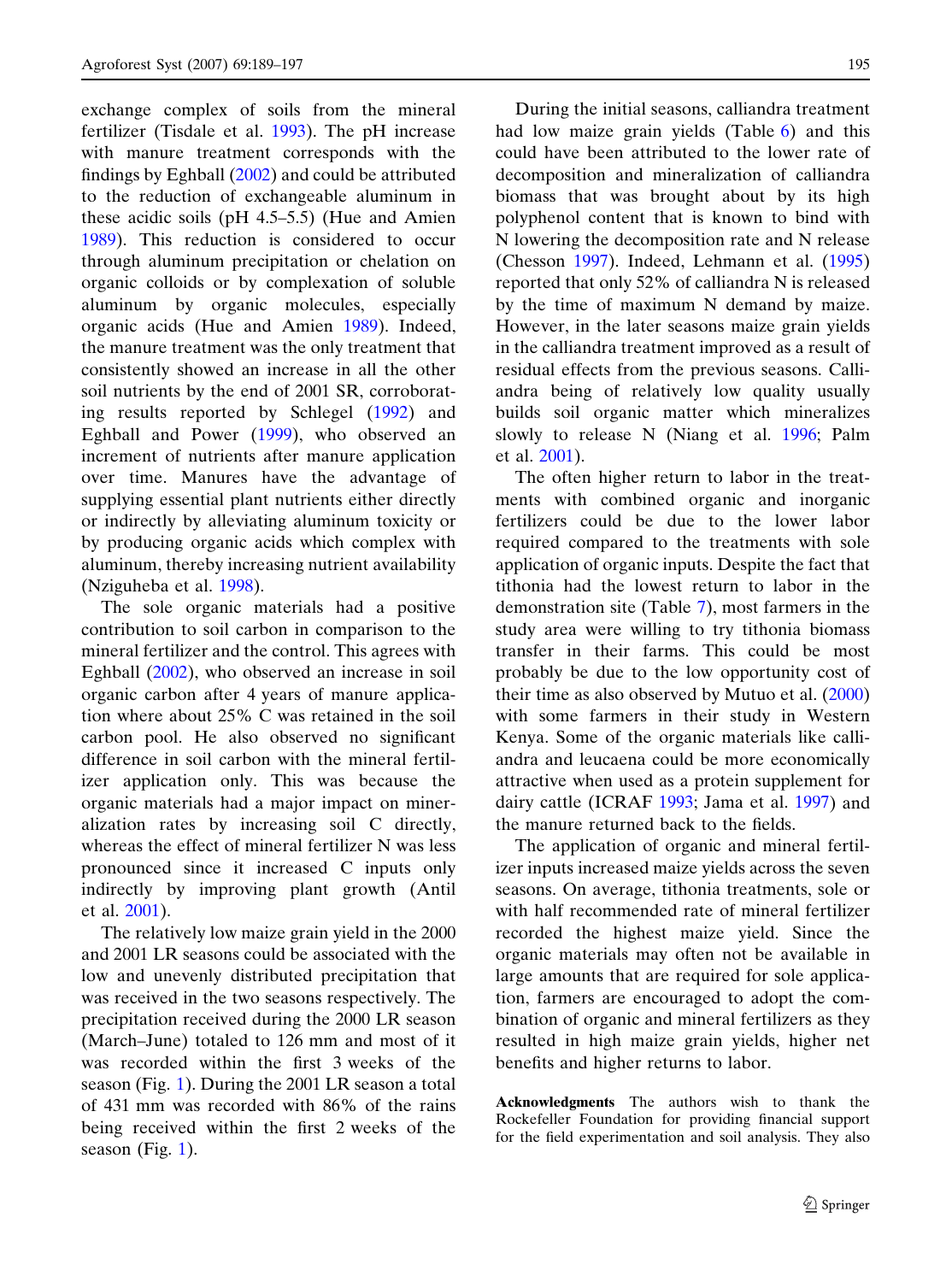exchange complex of soils from the mineral fertilizer (Tisdale et al. [1993\)](#page-8-0). The pH increase with manure treatment corresponds with the findings by Eghball ([2002\)](#page-7-0) and could be attributed to the reduction of exchangeable aluminum in these acidic soils (pH 4.5–5.5) (Hue and Amien [1989\)](#page-7-0). This reduction is considered to occur through aluminum precipitation or chelation on organic colloids or by complexation of soluble aluminum by organic molecules, especially organic acids (Hue and Amien [1989](#page-7-0)). Indeed, the manure treatment was the only treatment that consistently showed an increase in all the other soil nutrients by the end of 2001 SR, corroborating results reported by Schlegel ([1992\)](#page-8-0) and Eghball and Power [\(1999\)](#page-7-0), who observed an increment of nutrients after manure application over time. Manures have the advantage of supplying essential plant nutrients either directly or indirectly by alleviating aluminum toxicity or by producing organic acids which complex with aluminum, thereby increasing nutrient availability (Nziguheba et al. [1998\)](#page-7-0).

The sole organic materials had a positive contribution to soil carbon in comparison to the mineral fertilizer and the control. This agrees with Eghball ([2002\)](#page-7-0), who observed an increase in soil organic carbon after 4 years of manure application where about 25% C was retained in the soil carbon pool. He also observed no significant difference in soil carbon with the mineral fertilizer application only. This was because the organic materials had a major impact on mineralization rates by increasing soil C directly, whereas the effect of mineral fertilizer N was less pronounced since it increased C inputs only indirectly by improving plant growth (Antil et al. [2001](#page-7-0)).

The relatively low maize grain yield in the 2000 and 2001 LR seasons could be associated with the low and unevenly distributed precipitation that was received in the two seasons respectively. The precipitation received during the 2000 LR season (March–June) totaled to 126 mm and most of it was recorded within the first 3 weeks of the season (Fig. [1](#page-2-0)). During the 2001 LR season a total of 431 mm was recorded with 86% of the rains being received within the first 2 weeks of the season (Fig.  $1$ ).

During the initial seasons, calliandra treatment had low maize grain yields (Table [6\)](#page-5-0) and this could have been attributed to the lower rate of decomposition and mineralization of calliandra biomass that was brought about by its high polyphenol content that is known to bind with N lowering the decomposition rate and N release (Chesson [1997\)](#page-7-0). Indeed, Lehmann et al. ([1995](#page-7-0)) reported that only 52% of calliandra N is released by the time of maximum N demand by maize. However, in the later seasons maize grain yields in the calliandra treatment improved as a result of residual effects from the previous seasons. Calliandra being of relatively low quality usually builds soil organic matter which mineralizes slowly to release N (Niang et al. [1996;](#page-7-0) Palm et al. [2001](#page-7-0)).

The often higher return to labor in the treatments with combined organic and inorganic fertilizers could be due to the lower labor required compared to the treatments with sole application of organic inputs. Despite the fact that tithonia had the lowest return to labor in the demonstration site (Table [7\)](#page-5-0), most farmers in the study area were willing to try tithonia biomass transfer in their farms. This could be most probably be due to the low opportunity cost of their time as also observed by Mutuo et al. ([2000](#page-7-0)) with some farmers in their study in Western Kenya. Some of the organic materials like calliandra and leucaena could be more economically attractive when used as a protein supplement for dairy cattle (ICRAF [1993;](#page-7-0) Jama et al. [1997\)](#page-7-0) and the manure returned back to the fields.

The application of organic and mineral fertilizer inputs increased maize yields across the seven seasons. On average, tithonia treatments, sole or with half recommended rate of mineral fertilizer recorded the highest maize yield. Since the organic materials may often not be available in large amounts that are required for sole application, farmers are encouraged to adopt the combination of organic and mineral fertilizers as they resulted in high maize grain yields, higher net benefits and higher returns to labor.

Acknowledgments The authors wish to thank the Rockefeller Foundation for providing financial support for the field experimentation and soil analysis. They also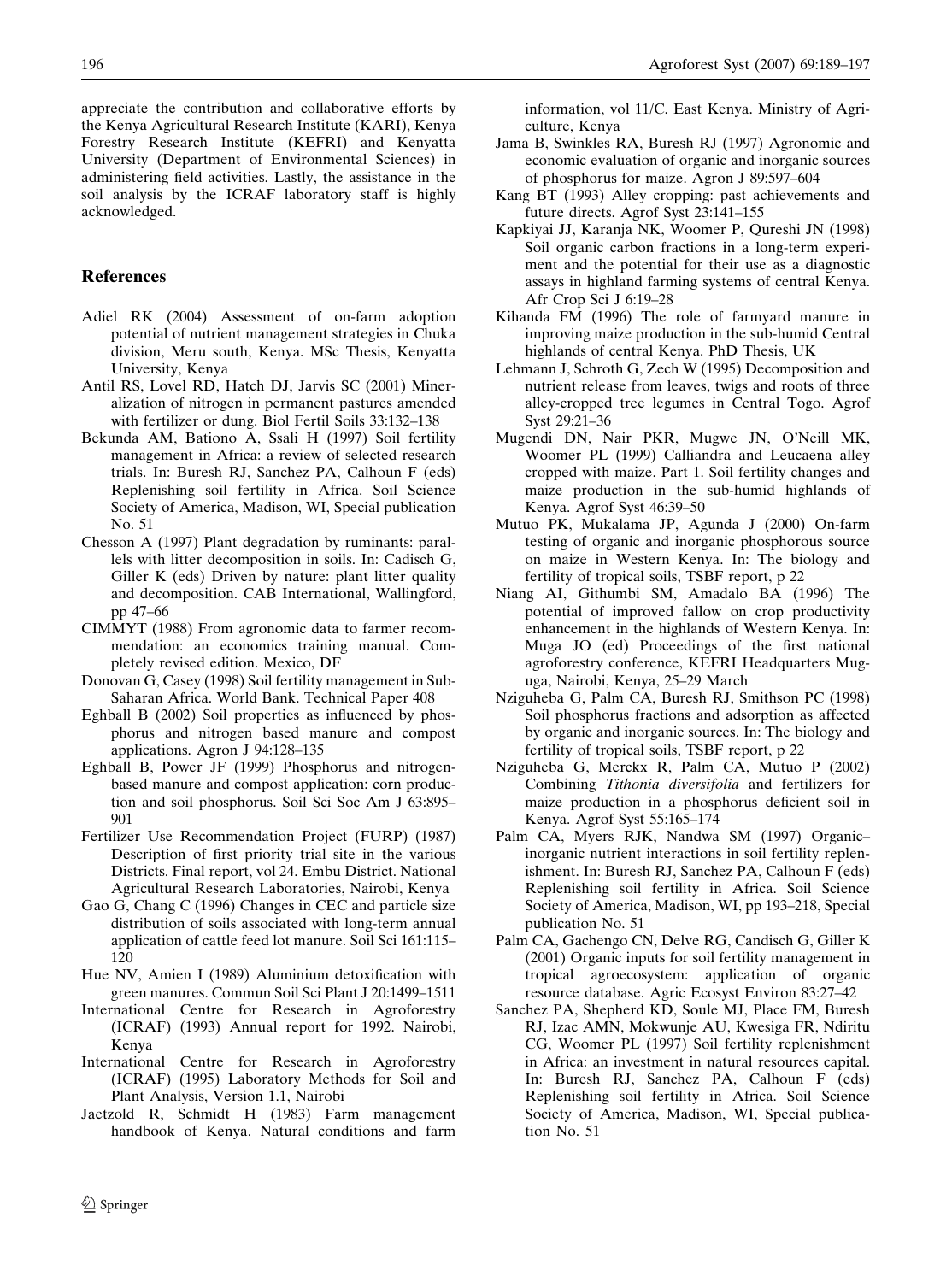<span id="page-7-0"></span>appreciate the contribution and collaborative efforts by the Kenya Agricultural Research Institute (KARI), Kenya Forestry Research Institute (KEFRI) and Kenyatta University (Department of Environmental Sciences) in

administering field activities. Lastly, the assistance in the soil analysis by the ICRAF laboratory staff is highly acknowledged.

# References

- Adiel RK (2004) Assessment of on-farm adoption potential of nutrient management strategies in Chuka division, Meru south, Kenya. MSc Thesis, Kenyatta University, Kenya
- Antil RS, Lovel RD, Hatch DJ, Jarvis SC (2001) Mineralization of nitrogen in permanent pastures amended with fertilizer or dung. Biol Fertil Soils 33:132–138
- Bekunda AM, Bationo A, Ssali H (1997) Soil fertility management in Africa: a review of selected research trials. In: Buresh RJ, Sanchez PA, Calhoun F (eds) Replenishing soil fertility in Africa. Soil Science Society of America, Madison, WI, Special publication No. 51
- Chesson A (1997) Plant degradation by ruminants: parallels with litter decomposition in soils. In: Cadisch G, Giller K (eds) Driven by nature: plant litter quality and decomposition. CAB International, Wallingford, pp 47–66
- CIMMYT (1988) From agronomic data to farmer recommendation: an economics training manual. Completely revised edition. Mexico, DF
- Donovan G, Casey (1998) Soil fertility management in Sub-Saharan Africa. World Bank. Technical Paper 408
- Eghball B (2002) Soil properties as influenced by phosphorus and nitrogen based manure and compost applications. Agron J 94:128–135
- Eghball B, Power JF (1999) Phosphorus and nitrogenbased manure and compost application: corn production and soil phosphorus. Soil Sci Soc Am J 63:895– 901
- Fertilizer Use Recommendation Project (FURP) (1987) Description of first priority trial site in the various Districts. Final report, vol 24. Embu District. National Agricultural Research Laboratories, Nairobi, Kenya
- Gao G, Chang C (1996) Changes in CEC and particle size distribution of soils associated with long-term annual application of cattle feed lot manure. Soil Sci 161:115– 120
- Hue NV, Amien I (1989) Aluminium detoxification with green manures. Commun Soil Sci Plant J 20:1499–1511
- International Centre for Research in Agroforestry (ICRAF) (1993) Annual report for 1992. Nairobi, Kenya
- International Centre for Research in Agroforestry (ICRAF) (1995) Laboratory Methods for Soil and Plant Analysis, Version 1.1, Nairobi
- Jaetzold R, Schmidt H (1983) Farm management handbook of Kenya. Natural conditions and farm

information, vol 11/C. East Kenya. Ministry of Agriculture, Kenya

- Jama B, Swinkles RA, Buresh RJ (1997) Agronomic and economic evaluation of organic and inorganic sources of phosphorus for maize. Agron J 89:597–604
- Kang BT (1993) Alley cropping: past achievements and future directs. Agrof Syst 23:141–155
- Kapkiyai JJ, Karanja NK, Woomer P, Qureshi JN (1998) Soil organic carbon fractions in a long-term experiment and the potential for their use as a diagnostic assays in highland farming systems of central Kenya. Afr Crop Sci J 6:19–28
- Kihanda FM (1996) The role of farmyard manure in improving maize production in the sub-humid Central highlands of central Kenya. PhD Thesis, UK
- Lehmann J, Schroth G, Zech W (1995) Decomposition and nutrient release from leaves, twigs and roots of three alley-cropped tree legumes in Central Togo. Agrof Syst 29:21–36
- Mugendi DN, Nair PKR, Mugwe JN, O'Neill MK, Woomer PL (1999) Calliandra and Leucaena alley cropped with maize. Part 1. Soil fertility changes and maize production in the sub-humid highlands of Kenya. Agrof Syst 46:39–50
- Mutuo PK, Mukalama JP, Agunda J (2000) On-farm testing of organic and inorganic phosphorous source on maize in Western Kenya. In: The biology and fertility of tropical soils, TSBF report, p 22
- Niang AI, Githumbi SM, Amadalo BA (1996) The potential of improved fallow on crop productivity enhancement in the highlands of Western Kenya. In: Muga JO (ed) Proceedings of the first national agroforestry conference, KEFRI Headquarters Muguga, Nairobi, Kenya, 25–29 March
- Nziguheba G, Palm CA, Buresh RJ, Smithson PC (1998) Soil phosphorus fractions and adsorption as affected by organic and inorganic sources. In: The biology and fertility of tropical soils, TSBF report, p 22
- Nziguheba G, Merckx R, Palm CA, Mutuo P (2002) Combining Tithonia diversifolia and fertilizers for maize production in a phosphorus deficient soil in Kenya. Agrof Syst 55:165–174
- Palm CA, Myers RJK, Nandwa SM (1997) Organic– inorganic nutrient interactions in soil fertility replenishment. In: Buresh RJ, Sanchez PA, Calhoun F (eds) Replenishing soil fertility in Africa. Soil Science Society of America, Madison, WI, pp 193–218, Special publication No. 51
- Palm CA, Gachengo CN, Delve RG, Candisch G, Giller K (2001) Organic inputs for soil fertility management in tropical agroecosystem: application of organic resource database. Agric Ecosyst Environ 83:27–42
- Sanchez PA, Shepherd KD, Soule MJ, Place FM, Buresh RJ, Izac AMN, Mokwunje AU, Kwesiga FR, Ndiritu CG, Woomer PL (1997) Soil fertility replenishment in Africa: an investment in natural resources capital. In: Buresh RJ, Sanchez PA, Calhoun F (eds) Replenishing soil fertility in Africa. Soil Science Society of America, Madison, WI, Special publication No. 51